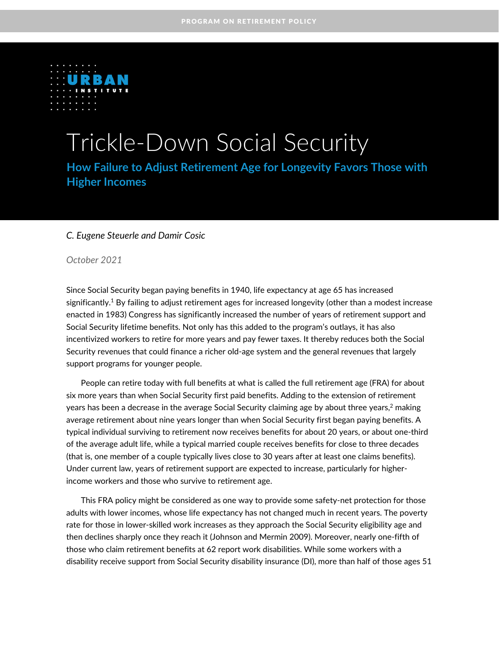

# Trickle-Down Social Security

**How Failure to Adjust Retirement Age for Longevity Favors Those with Higher Incomes**

### *C. Eugene Steuerle and Damir Cosic*

*October 2021*

Since Social Security began paying benefits in 1940, life expectancy at age 65 has increased significantly. $1$  By failing to adjust retirement ages for increased longevity (other than a modest increase enacted in 1983) Congress has significantly increased the number of years of retirement support and Social Security lifetime benefits. Not only has this added to the program's outlays, it has also incentivized workers to retire for more years and pay fewer taxes. It thereby reduces both the Social Security revenues that could finance a richer old-age system and the general revenues that largely support programs for younger people.

People can retire today with full benefits at what is called the full retirement age (FRA) for about six more years than when Social Security first paid benefits. Adding to the extension of retirement years has been a decrease in the average Social Security claiming age by about three years, $^2$  making average retirement about nine years longer than when Social Security first began paying benefits. A typical individual surviving to retirement now receives benefits for about 20 years, or about one-third of the average adult life, while a typical married couple receives benefits for close to three decades (that is, one member of a couple typically lives close to 30 years after at least one claims benefits). Under current law, years of retirement support are expected to increase, particularly for higherincome workers and those who survive to retirement age.

This FRA policy might be considered as one way to provide some safety-net protection for those adults with lower incomes, whose life expectancy has not changed much in recent years. The poverty rate for those in lower-skilled work increases as they approach the Social Security eligibility age and then declines sharply once they reach it (Johnson and Mermin 2009). Moreover, nearly one-fifth of those who claim retirement benefits at 62 report work disabilities. While some workers with a disability receive support from Social Security disability insurance (DI), more than half of those ages 51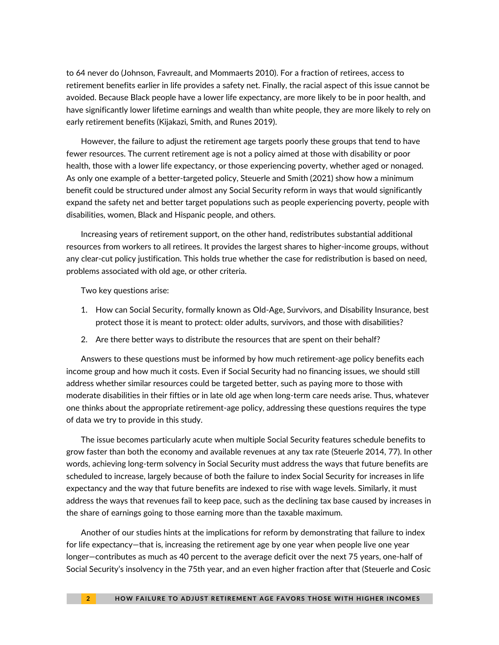to 64 never do (Johnson, Favreault, and Mommaerts 2010). For a fraction of retirees, access to retirement benefits earlier in life provides a safety net. Finally, the racial aspect of this issue cannot be avoided. Because Black people have a lower life expectancy, are more likely to be in poor health, and have significantly lower lifetime earnings and wealth than white people, they are more likely to rely on early retirement benefits (Kijakazi, Smith, and Runes 2019).

However, the failure to adjust the retirement age targets poorly these groups that tend to have fewer resources. The current retirement age is not a policy aimed at those with disability or poor health, those with a lower life expectancy, or those experiencing poverty, whether aged or nonaged. As only one example of a better-targeted policy, Steuerle and Smith (2021) show how a minimum benefit could be structured under almost any Social Security reform in ways that would significantly expand the safety net and better target populations such as people experiencing poverty, people with disabilities, women, Black and Hispanic people, and others.

Increasing years of retirement support, on the other hand, redistributes substantial additional resources from workers to all retirees. It provides the largest shares to higher-income groups, without any clear-cut policy justification. This holds true whether the case for redistribution is based on need, problems associated with old age, or other criteria.

Two key questions arise:

- 1. How can Social Security, formally known as Old-Age, Survivors, and Disability Insurance, best protect those it is meant to protect: older adults, survivors, and those with disabilities?
- 2. Are there better ways to distribute the resources that are spent on their behalf?

Answers to these questions must be informed by how much retirement-age policy benefits each income group and how much it costs. Even if Social Security had no financing issues, we should still address whether similar resources could be targeted better, such as paying more to those with moderate disabilities in their fifties or in late old age when long-term care needs arise. Thus, whatever one thinks about the appropriate retirement-age policy, addressing these questions requires the type of data we try to provide in this study.

The issue becomes particularly acute when multiple Social Security features schedule benefits to grow faster than both the economy and available revenues at any tax rate (Steuerle 2014, 77). In other words, achieving long-term solvency in Social Security must address the ways that future benefits are scheduled to increase, largely because of both the failure to index Social Security for increases in life expectancy and the way that future benefits are indexed to rise with wage levels. Similarly, it must address the ways that revenues fail to keep pace, such as the declining tax base caused by increases in the share of earnings going to those earning more than the taxable maximum.

Another of our studies hints at the implications for reform by demonstrating that [failure to index](about:blank)  for life expectancy—[that is, increasing the retirement age by one year when people live one year](about:blank)  longer—[contributes as much as 40 percent to the average deficit over the next 75 years, one-half of](about:blank)  [Social Security's insolvency in the 75th year, and an even higher fraction after tha](about:blank)t (Steuerle and Cosic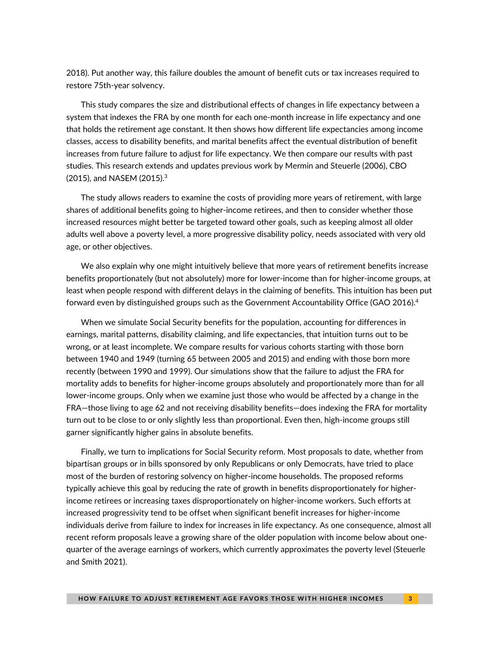[2018\).](about:blank) Put another way, this failure doubles the amount of benefit cuts or tax increases required to restore 75th-year solvency.

This study compares the size and distributional effects of changes in life expectancy between a system that indexes the FRA by one month for each one-month increase in life expectancy and one that holds the retirement age constant. It then shows how different life expectancies among income classes, access to disability benefits, and marital benefits affect the eventual distribution of benefit increases from future failure to adjust for life expectancy. We then compare our results with past studies. This research extends and updates previous work by [Mermin and Steuerle](about:blank) (2006), [CB](about:blank)O (2015), and NASEM (2015). 3

The study allows readers to examine the costs of providing more years of retirement, with large shares of additional benefits going to higher-income retirees, and then to consider whether those increased resources might better be targeted toward other goals, such as keeping almost all older adults well above a poverty level, a more progressive disability policy, needs associated with very old age, or other objectives.

We also explain why one might intuitively believe that more years of retirement benefits increase benefits proportionately (but not absolutely) more for lower-income than for higher-income groups, at least when people respond with different delays in the claiming of benefits. This intuition has been put forward even by distinguished groups such as the Government Accountability Office (GAO 2016).<sup>4</sup>

When we simulate Social Security benefits for the population, accounting for differences in earnings, marital patterns, disability claiming, and life expectancies, that intuition turns out to be wrong, or at least incomplete. We compare results for various cohorts starting with those born between 1940 and 1949 (turning 65 between 2005 and 2015) and ending with those born more recently (between 1990 and 1999). Our simulations show that the failure to adjust the FRA for mortality adds to benefits for higher-income groups absolutely and proportionately more than for all lower-income groups. Only when we examine just those who would be affected by a change in the FRA—those living to age 62 and not receiving disability benefits—does indexing the FRA for mortality turn out to be close to or only slightly less than proportional. Even then, high-income groups still garner significantly higher gains in absolute benefits.

Finally, we turn to implications for Social Security reform. Most proposals to date, whether from bipartisan groups or in bills sponsored by only Republicans or only Democrats, have tried to place most of the burden of restoring solvency on higher-income households. The proposed reforms typically achieve this goal by reducing the rate of growth in benefits disproportionately for higherincome retirees or increasing taxes disproportionately on higher-income workers. Such efforts at increased progressivity tend to be offset when significant benefit increases for higher-income individuals derive from failure to index for increases in life expectancy. As one consequence, almost all recent reform proposals leave a growing share of the older population with income below about onequarter of the average earnings of workers, which currently approximates the poverty level (Steuerle and Smith 2021).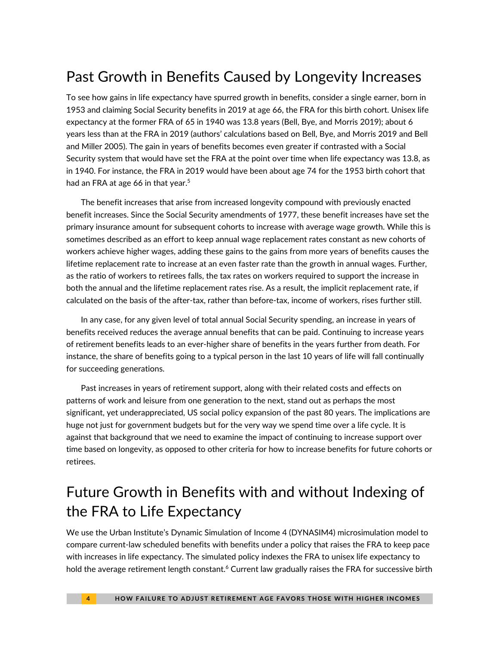# Past Growth in Benefits Caused by Longevity Increases

To see how gains in life expectancy have spurred growth in benefits, consider a single earner, born in 1953 and claiming Social Security benefits in 2019 at age 66, the FRA for this birth cohort. Unisex life expectancy at the former FRA of 65 in 1940 was 13.8 years (Bell, Bye, and Morris 2019); about 6 years less than at the FRA in 2019 (authors' calculations based on Bell, Bye, and Morris 2019 and Bell and Miller 2005). The gain in years of benefits becomes even greater if contrasted with a Social Security system that would have set the FRA at the point over time when life expectancy was 13.8, as in 1940. For instance, the FRA in 2019 would have been about age 74 for the 1953 birth cohort that had an FRA at age 66 in that year.<sup>5</sup>

The benefit increases that arise from increased longevity compound with previously enacted benefit increases. Since the Social Security amendments of 1977, these benefit increases have set the primary insurance amount for subsequent cohorts to increase with average wage growth. While this is sometimes described as an effort to keep annual wage replacement rates constant as new cohorts of workers achieve higher wages, adding these gains to the gains from more years of benefits causes the lifetime replacement rate to increase at an even faster rate than the growth in annual wages. Further, as the ratio of workers to retirees falls, the tax rates on workers required to support the increase in both the annual and the lifetime replacement rates rise. As a result, the implicit replacement rate, if calculated on the basis of the after-tax, rather than before-tax, income of workers, rises further still.

In any case, for any given level of total annual Social Security spending, an increase in years of benefits received reduces the average annual benefits that can be paid. Continuing to increase years of retirement benefits leads to an ever-higher share of benefits in the years further from death. For instance, the share of benefits going to a typical person in the last 10 years of life will fall continually for succeeding generations.

Past increases in years of retirement support, along with their related costs and effects on patterns of work and leisure from one generation to the next, stand out as perhaps the most significant, yet underappreciated, US social policy expansion of the past 80 years. The implications are huge not just for government budgets but for the very way we spend time over a life cycle. It is against that background that we need to examine the impact of continuing to increase support over time based on longevity, as opposed to other criteria for how to increase benefits for future cohorts or retirees.

# Future Growth in Benefits with and without Indexing of the FRA to Life Expectancy

We use the Urban Institute's Dynamic Simulation of Income 4 (DYNASIM4) microsimulation model to compare current-law scheduled benefits with benefits under a policy that raises the FRA to keep pace with increases in life expectancy. The simulated policy indexes the FRA to unisex life expectancy to hold the average retirement length constant.<sup>6</sup> Current law gradually raises the FRA for successive birth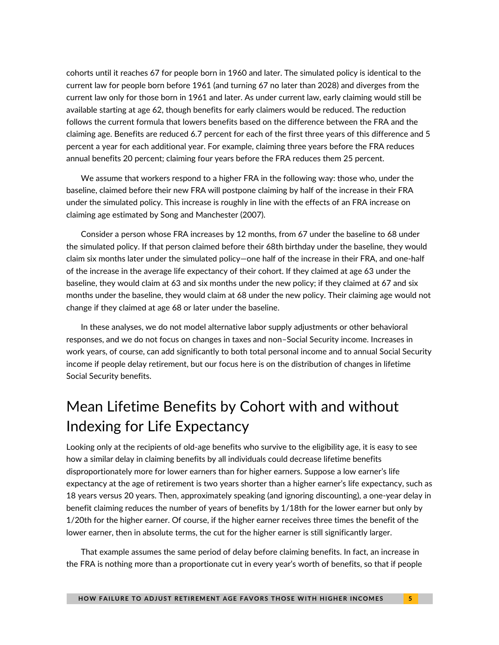cohorts until it reaches 67 for people born in 1960 and later. The simulated policy is identical to the current law for people born before 1961 (and turning 67 no later than 2028) and diverges from the current law only for those born in 1961 and later. As under current law, early claiming would still be available starting at age 62, though benefits for early claimers would be reduced. The reduction follows the current formula that lowers benefits based on the difference between the FRA and the claiming age. Benefits are reduced 6.7 percent for each of the first three years of this difference and 5 percent a year for each additional year. For example, claiming three years before the FRA reduces annual benefits 20 percent; claiming four years before the FRA reduces them 25 percent.

We assume that workers respond to a higher FRA in the following way: those who, under the baseline, claimed before their new FRA will postpone claiming by half of the increase in their FRA under the simulated policy. This increase is roughly in line with the effects of an FRA increase on claiming age estimated by Song and Manchester (2007).

Consider a person whose FRA increases by 12 months, from 67 under the baseline to 68 under the simulated policy. If that person claimed before their 68th birthday under the baseline, they would claim six months later under the simulated policy—one half of the increase in their FRA, and one-half of the increase in the average life expectancy of their cohort. If they claimed at age 63 under the baseline, they would claim at 63 and six months under the new policy; if they claimed at 67 and six months under the baseline, they would claim at 68 under the new policy. Their claiming age would not change if they claimed at age 68 or later under the baseline.

In these analyses, we do not model alternative labor supply adjustments or other behavioral responses, and we do not focus on changes in taxes and non–Social Security income. Increases in work years, of course, can add significantly to both total personal income and to annual Social Security income if people delay retirement, but our focus here is on the distribution of changes in lifetime Social Security benefits.

# Mean Lifetime Benefits by Cohort with and without Indexing for Life Expectancy

Looking only at the recipients of old-age benefits who survive to the eligibility age, it is easy to see how a similar delay in claiming benefits by all individuals could decrease lifetime benefits disproportionately more for lower earners than for higher earners. Suppose a low earner's life expectancy at the age of retirement is two years shorter than a higher earner's life expectancy, such as 18 years versus 20 years. Then, approximately speaking (and ignoring discounting), a one-year delay in benefit claiming reduces the number of years of benefits by 1/18th for the lower earner but only by 1/20th for the higher earner. Of course, if the higher earner receives three times the benefit of the lower earner, then in absolute terms, the cut for the higher earner is still significantly larger.

That example assumes the same period of delay before claiming benefits. In fact, an increase in the FRA is nothing more than a proportionate cut in every year's worth of benefits, so that if people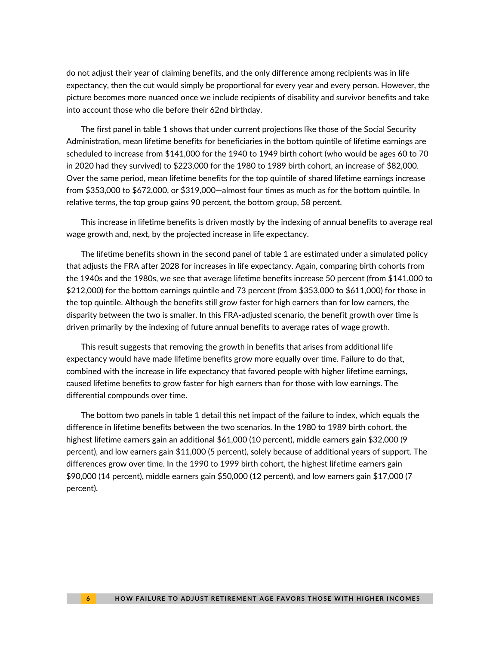do not adjust their year of claiming benefits, and the only difference among recipients was in life expectancy, then the cut would simply be proportional for every year and every person. However, the picture becomes more nuanced once we include recipients of disability and survivor benefits and take into account those who die before their 62nd birthday.

The first panel in table 1 shows that under current projections like those of the Social Security Administration, mean lifetime benefits for beneficiaries in the bottom quintile of lifetime earnings are scheduled to increase from \$141,000 for the 1940 to 1949 birth cohort (who would be ages 60 to 70 in 2020 had they survived) to \$223,000 for the 1980 to 1989 birth cohort, an increase of \$82,000. Over the same period, mean lifetime benefits for the top quintile of shared lifetime earnings increase from \$353,000 to \$672,000, or \$319,000—almost four times as much as for the bottom quintile. In relative terms, the top group gains 90 percent, the bottom group, 58 percent.

This increase in lifetime benefits is driven mostly by the indexing of annual benefits to average real wage growth and, next, by the projected increase in life expectancy.

The lifetime benefits shown in the second panel of table 1 are estimated under a simulated policy that adjusts the FRA after 2028 for increases in life expectancy. Again, comparing birth cohorts from the 1940s and the 1980s, we see that average lifetime benefits increase 50 percent (from \$141,000 to \$212,000) for the bottom earnings quintile and 73 percent (from \$353,000 to \$611,000) for those in the top quintile. Although the benefits still grow faster for high earners than for low earners, the disparity between the two is smaller. In this FRA-adjusted scenario, the benefit growth over time is driven primarily by the indexing of future annual benefits to average rates of wage growth.

This result suggests that removing the growth in benefits that arises from additional life expectancy would have made lifetime benefits grow more equally over time. Failure to do that, combined with the increase in life expectancy that favored people with higher lifetime earnings, caused lifetime benefits to grow faster for high earners than for those with low earnings. The differential compounds over time.

The bottom two panels in table 1 detail this net impact of the failure to index, which equals the difference in lifetime benefits between the two scenarios. In the 1980 to 1989 birth cohort, the highest lifetime earners gain an additional \$61,000 (10 percent), middle earners gain \$32,000 (9 percent), and low earners gain \$11,000 (5 percent), solely because of additional years of support. The differences grow over time. In the 1990 to 1999 birth cohort, the highest lifetime earners gain \$90,000 (14 percent), middle earners gain \$50,000 (12 percent), and low earners gain \$17,000 (7 percent).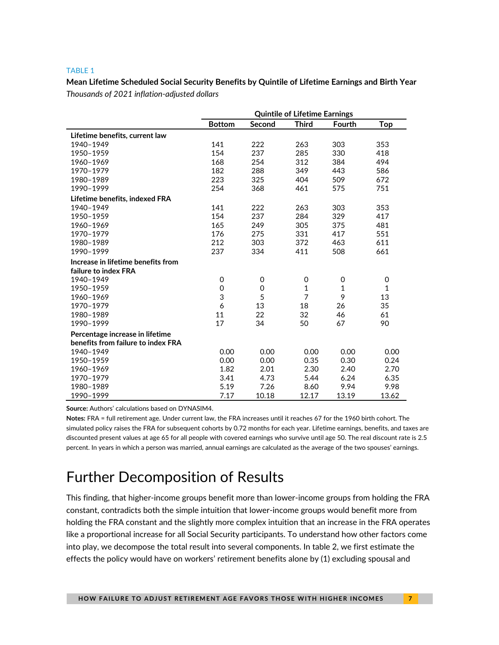#### TABLE 1

**Mean Lifetime Scheduled Social Security Benefits by Quintile of Lifetime Earnings and Birth Year** *Thousands of 2021 inflation-adjusted dollars*

|                                    | <b>Quintile of Lifetime Earnings</b> |          |              |               |              |
|------------------------------------|--------------------------------------|----------|--------------|---------------|--------------|
|                                    | <b>Bottom</b>                        | Second   | <b>Third</b> | <b>Fourth</b> | <b>Top</b>   |
| Lifetime benefits, current law     |                                      |          |              |               |              |
| 1940-1949                          | 141                                  | 222      | 263          | 303           | 353          |
| 1950-1959                          | 154                                  | 237      | 285          | 330           | 418          |
| 1960-1969                          | 168                                  | 254      | 312          | 384           | 494          |
| 1970-1979                          | 182                                  | 288      | 349          | 443           | 586          |
| 1980-1989                          | 223                                  | 325      | 404          | 509           | 672          |
| 1990-1999                          | 254                                  | 368      | 461          | 575           | 751          |
| Lifetime benefits, indexed FRA     |                                      |          |              |               |              |
| 1940-1949                          | 141                                  | 222      | 263          | 303           | 353          |
| 1950-1959                          | 154                                  | 237      | 284          | 329           | 417          |
| 1960-1969                          | 165                                  | 249      | 305          | 375           | 481          |
| 1970-1979                          | 176                                  | 275      | 331          | 417           | 551          |
| 1980-1989                          | 212                                  | 303      | 372          | 463           | 611          |
| 1990-1999                          | 237                                  | 334      | 411          | 508           | 661          |
| Increase in lifetime benefits from |                                      |          |              |               |              |
| failure to index FRA               |                                      |          |              |               |              |
| 1940-1949                          | 0                                    | 0        | 0            | 0             | 0            |
| 1950-1959                          | 0                                    | $\Omega$ | $\mathbf{1}$ | $\mathbf{1}$  | $\mathbf{1}$ |
| 1960-1969                          | 3                                    | 5        | 7            | 9             | 13           |
| 1970-1979                          | 6                                    | 13       | 18           | 26            | 35           |
| 1980-1989                          | 11                                   | 22       | 32           | 46            | 61           |
| 1990-1999                          | 17                                   | 34       | 50           | 67            | 90           |
| Percentage increase in lifetime    |                                      |          |              |               |              |
| benefits from failure to index FRA |                                      |          |              |               |              |
| 1940-1949                          | 0.00                                 | 0.00     | 0.00         | 0.00          | 0.00         |
| 1950-1959                          | 0.00                                 | 0.00     | 0.35         | 0.30          | 0.24         |
| 1960-1969                          | 1.82                                 | 2.01     | 2.30         | 2.40          | 2.70         |
| 1970-1979                          | 3.41                                 | 4.73     | 5.44         | 6.24          | 6.35         |
| 1980-1989                          | 5.19                                 | 7.26     | 8.60         | 9.94          | 9.98         |
| 1990-1999                          | 7.17                                 | 10.18    | 12.17        | 13.19         | 13.62        |

**Source:** Authors' calculations based on DYNASIM4.

**Notes:** FRA = full retirement age. Under current law, the FRA increases until it reaches 67 for the 1960 birth cohort. The simulated policy raises the FRA for subsequent cohorts by 0.72 months for each year. Lifetime earnings, benefits, and taxes are discounted present values at age 65 for all people with covered earnings who survive until age 50. The real discount rate is 2.5 percent. In years in which a person was married, annual earnings are calculated as the average of the two spouses' earnings.

### Further Decomposition of Results

This finding, that higher-income groups benefit more than lower-income groups from holding the FRA constant, contradicts both the simple intuition that lower-income groups would benefit more from holding the FRA constant and the slightly more complex intuition that an increase in the FRA operates like a proportional increase for all Social Security participants. To understand how other factors come into play, we decompose the total result into several components. In table 2, we first estimate the effects the policy would have on workers' retirement benefits alone by (1) excluding spousal and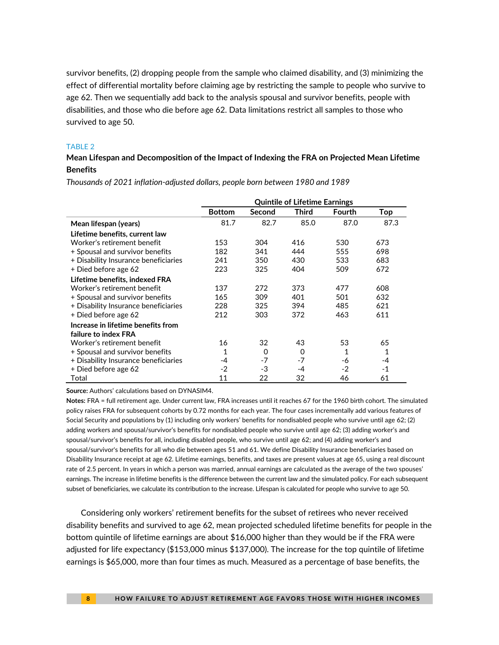survivor benefits, (2) dropping people from the sample who claimed disability, and (3) minimizing the effect of differential mortality before claiming age by restricting the sample to people who survive to age 62. Then we sequentially add back to the analysis spousal and survivor benefits, people with disabilities, and those who die before age 62. Data limitations restrict all samples to those who survived to age 50.

#### TABLE 2

### **Mean Lifespan and Decomposition of the Impact of Indexing the FRA on Projected Mean Lifetime Benefits**

|                                      | <b>Quintile of Lifetime Earnings</b> |          |          |               |              |
|--------------------------------------|--------------------------------------|----------|----------|---------------|--------------|
|                                      | <b>Bottom</b>                        | Second   | Third    | <b>Fourth</b> | Top          |
| Mean lifespan (years)                | 81.7                                 | 82.7     | 85.0     | 87.0          | 87.3         |
| Lifetime benefits, current law       |                                      |          |          |               |              |
| Worker's retirement benefit          | 153                                  | 304      | 416      | 530           | 673          |
| + Spousal and survivor benefits      | 182                                  | 341      | 444      | 555           | 698          |
| + Disability Insurance beneficiaries | 241                                  | 350      | 430      | 533           | 683          |
| + Died before age 62                 | 223                                  | 325      | 404      | 509           | 672          |
| Lifetime benefits, indexed FRA       |                                      |          |          |               |              |
| Worker's retirement benefit          | 137                                  | 272      | 373      | 477           | 608          |
| + Spousal and survivor benefits      | 165                                  | 309      | 401      | 501           | 632          |
| + Disability Insurance beneficiaries | 228                                  | 325      | 394      | 485           | 621          |
| + Died before age 62                 | 212                                  | 303      | 372      | 463           | 611          |
| Increase in lifetime benefits from   |                                      |          |          |               |              |
| failure to index FRA                 |                                      |          |          |               |              |
| Worker's retirement benefit          | 16                                   | 32       | 43       | 53            | 65           |
| + Spousal and survivor benefits      | $\mathbf{1}$                         | $\Omega$ | $\Omega$ | 1             | $\mathbf{1}$ |
| + Disability Insurance beneficiaries | -4                                   | $-7$     | $-7$     | -6            | -4           |
| + Died before age 62                 | $-2$                                 | -3       | -4       | -2            | -1           |
| Total                                | 11                                   | 22       | 32       | 46            | 61           |

*Thousands of 2021 inflation-adjusted dollars, people born between 1980 and 1989*

**Source:** Authors' calculations based on DYNASIM4.

**Notes:** FRA = full retirement age. Under current law, FRA increases until it reaches 67 for the 1960 birth cohort. The simulated policy raises FRA for subsequent cohorts by 0.72 months for each year. The four cases incrementally add various features of Social Security and populations by (1) including only workers' benefits for nondisabled people who survive until age 62; (2) adding workers and spousal/survivor's benefits for nondisabled people who survive until age 62; (3) adding worker's and spousal/survivor's benefits for all, including disabled people, who survive until age 62; and (4) adding worker's and spousal/survivor's benefits for all who die between ages 51 and 61. We define Disability Insurance beneficiaries based on Disability Insurance receipt at age 62. Lifetime earnings, benefits, and taxes are present values at age 65, using a real discount rate of 2.5 percent. In years in which a person was married, annual earnings are calculated as the average of the two spouses' earnings. The increase in lifetime benefits is the difference between the current law and the simulated policy. For each subsequent subset of beneficiaries, we calculate its contribution to the increase. Lifespan is calculated for people who survive to age 50.

Considering only workers' retirement benefits for the subset of retirees who never received disability benefits and survived to age 62, mean projected scheduled lifetime benefits for people in the bottom quintile of lifetime earnings are about \$16,000 higher than they would be if the FRA were adjusted for life expectancy (\$153,000 minus \$137,000). The increase for the top quintile of lifetime earnings is \$65,000, more than four times as much. Measured as a percentage of base benefits, the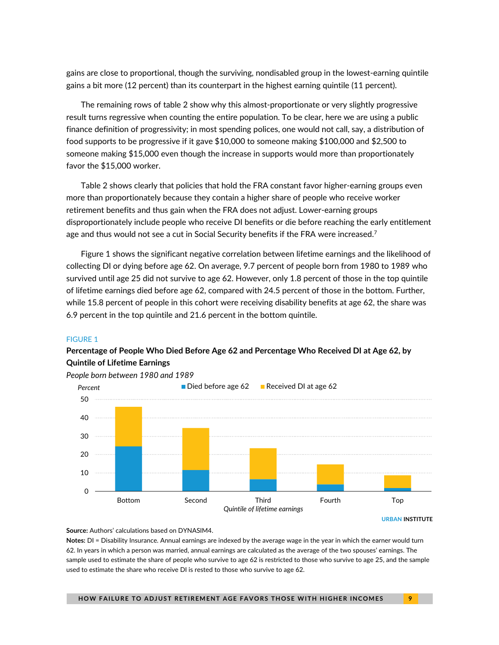gains are close to proportional, though the surviving, nondisabled group in the lowest-earning quintile gains a bit more (12 percent) than its counterpart in the highest earning quintile (11 percent).

The remaining rows of table 2 show why this almost-proportionate or very slightly progressive result turns regressive when counting the entire population. To be clear, here we are using a public finance definition of progressivity; in most spending polices, one would not call, say, a distribution of food supports to be progressive if it gave \$10,000 to someone making \$100,000 and \$2,500 to someone making \$15,000 even though the increase in supports would more than proportionately favor the \$15,000 worker.

Table 2 shows clearly that policies that hold the FRA constant favor higher-earning groups even more than proportionately because they contain a higher share of people who receive worker retirement benefits and thus gain when the FRA does not adjust. Lower-earning groups disproportionately include people who receive DI benefits or die before reaching the early entitlement age and thus would not see a cut in Social Security benefits if the FRA were increased. $^7$ 

Figure 1 shows the significant negative correlation between lifetime earnings and the likelihood of collecting DI or dying before age 62. On average, 9.7 percent of people born from 1980 to 1989 who survived until age 25 did not survive to age 62. However, only 1.8 percent of those in the top quintile of lifetime earnings died before age 62, compared with 24.5 percent of those in the bottom. Further, while 15.8 percent of people in this cohort were receiving disability benefits at age 62, the share was 6.9 percent in the top quintile and 21.6 percent in the bottom quintile.

#### FIGURE 1

### **Percentage of People Who Died Before Age 62 and Percentage Who Received DI at Age 62, by Quintile of Lifetime Earnings**



#### **Source:** Authors' calculations based on DYNASIM4.

**Notes:** DI = Disability Insurance. Annual earnings are indexed by the average wage in the year in which the earner would turn 62. In years in which a person was married, annual earnings are calculated as the average of the two spouses' earnings. The sample used to estimate the share of people who survive to age 62 is restricted to those who survive to age 25, and the sample used to estimate the share who receive DI is rested to those who survive to age 62.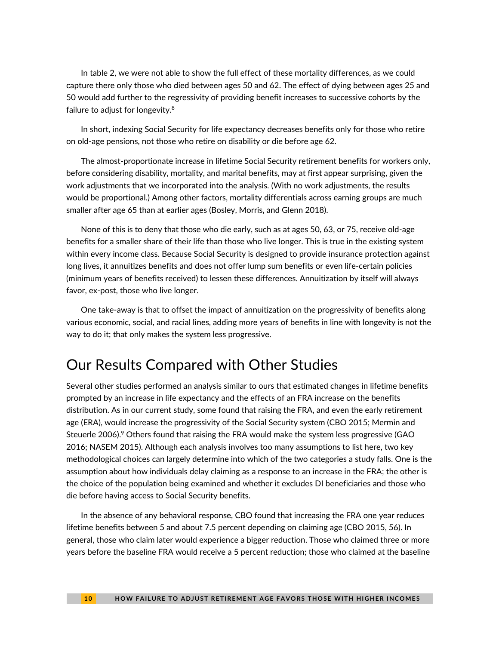In table 2, we were not able to show the full effect of these mortality differences, as we could capture there only those who died between ages 50 and 62. The effect of dying between ages 25 and 50 would add further to the regressivity of providing benefit increases to successive cohorts by the failure to adjust for longevity.<sup>8</sup>

In short, indexing Social Security for life expectancy decreases benefits only for those who retire on old-age pensions, not those who retire on disability or die before age 62.

The almost-proportionate increase in lifetime Social Security retirement benefits for workers only, before considering disability, mortality, and marital benefits, may at first appear surprising, given the work adjustments that we incorporated into the analysis. (With no work adjustments, the results would be proportional.) Among other factors, mortality differentials across earning groups are much smaller after age 65 than at earlier ages (Bosley, Morris, and Glenn 2018).

None of this is to deny that those who die early, such as at ages 50, 63, or 75, receive old-age benefits for a smaller share of their life than those who live longer. This is true in the existing system within every income class. Because Social Security is designed to provide insurance protection against long lives, it annuitizes benefits and does not offer lump sum benefits or even life-certain policies (minimum years of benefits received) to lessen these differences. Annuitization by itself will always favor, ex-post, those who live longer.

One take-away is that to offset the impact of annuitization on the progressivity of benefits along various economic, social, and racial lines, adding more years of benefits in line with longevity is not the way to do it; that only makes the system less progressive.

### Our Results Compared with Other Studies

Several other studies performed an analysis similar to ours that estimated changes in lifetime benefits prompted by an increase in life expectancy and the effects of an FRA increase on the benefits distribution. As in our current study, some found that raising the FRA, and even the early retirement age (ERA), would increase the progressivity of the Social Security system (CBO 2015; Mermin and Steuerle 2006).<sup>9</sup> Others found that raising the FRA would make the system less progressive (GAO 2016; NASEM 2015). Although each analysis involves too many assumptions to list here, two key methodological choices can largely determine into which of the two categories a study falls. One is the assumption about how individuals delay claiming as a response to an increase in the FRA; the other is the choice of the population being examined and whether it excludes DI beneficiaries and those who die before having access to Social Security benefits.

In the absence of any behavioral response, CBO found that increasing the FRA one year reduces lifetime benefits between 5 and about 7.5 percent depending on claiming age (CBO 2015, 56). In general, those who claim later would experience a bigger reduction. Those who claimed three or more years before the baseline FRA would receive a 5 percent reduction; those who claimed at the baseline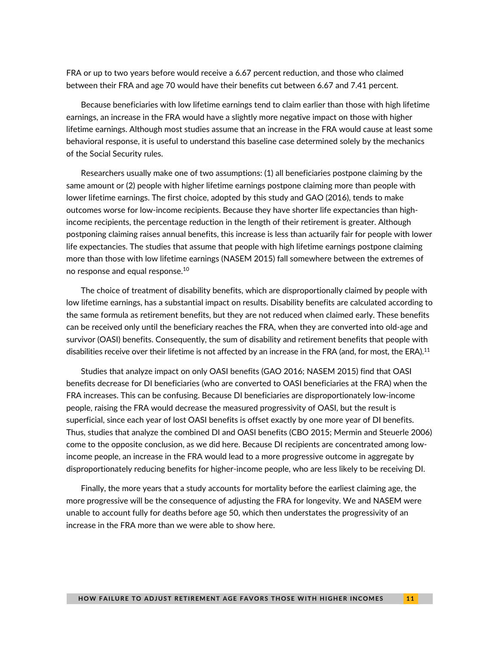FRA or up to two years before would receive a 6.67 percent reduction, and those who claimed between their FRA and age 70 would have their benefits cut between 6.67 and 7.41 percent.

Because beneficiaries with low lifetime earnings tend to claim earlier than those with high lifetime earnings, an increase in the FRA would have a slightly more negative impact on those with higher lifetime earnings. Although most studies assume that an increase in the FRA would cause at least some behavioral response, it is useful to understand this baseline case determined solely by the mechanics of the Social Security rules.

Researchers usually make one of two assumptions: (1) all beneficiaries postpone claiming by the same amount or (2) people with higher lifetime earnings postpone claiming more than people with lower lifetime earnings. The first choice, adopted by this study and GAO (2016), tends to make outcomes worse for low-income recipients. Because they have shorter life expectancies than highincome recipients, the percentage reduction in the length of their retirement is greater. Although postponing claiming raises annual benefits, this increase is less than actuarily fair for people with lower life expectancies. The studies that assume that people with high lifetime earnings postpone claiming more than those with low lifetime earnings (NASEM 2015) fall somewhere between the extremes of no response and equal response.<sup>10</sup>

The choice of treatment of disability benefits, which are disproportionally claimed by people with low lifetime earnings, has a substantial impact on results. Disability benefits are calculated according to the same formula as retirement benefits, but they are not reduced when claimed early. These benefits can be received only until the beneficiary reaches the FRA, when they are converted into old-age and survivor (OASI) benefits. Consequently, the sum of disability and retirement benefits that people with disabilities receive over their lifetime is not affected by an increase in the FRA (and, for most, the ERA).<sup>11</sup>

Studies that analyze impact on only OASI benefits (GAO 2016; NASEM 2015) find that OASI benefits decrease for DI beneficiaries (who are converted to OASI beneficiaries at the FRA) when the FRA increases. This can be confusing. Because DI beneficiaries are disproportionately low-income people, raising the FRA would decrease the measured progressivity of OASI, but the result is superficial, since each year of lost OASI benefits is offset exactly by one more year of DI benefits. Thus, studies that analyze the combined DI and OASI benefits (CBO 2015; Mermin and Steuerle 2006) come to the opposite conclusion, as we did here. Because DI recipients are concentrated among lowincome people, an increase in the FRA would lead to a more progressive outcome in aggregate by disproportionately reducing benefits for higher-income people, who are less likely to be receiving DI.

Finally, the more years that a study accounts for mortality before the earliest claiming age, the more progressive will be the consequence of adjusting the FRA for longevity. We and NASEM were unable to account fully for deaths before age 50, which then understates the progressivity of an increase in the FRA more than we were able to show here.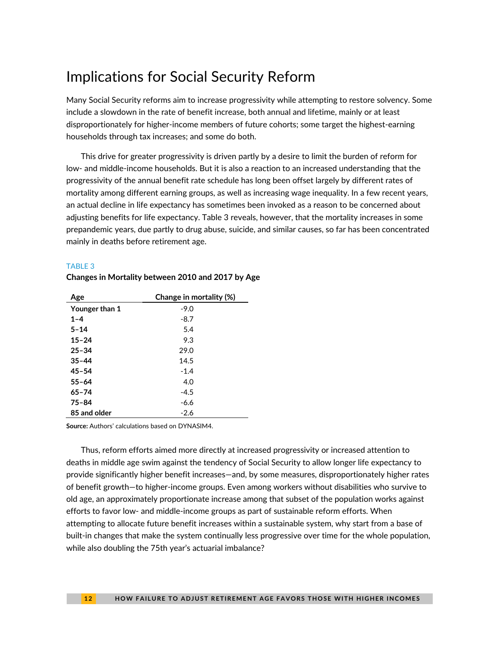## Implications for Social Security Reform

Many Social Security reforms aim to increase progressivity while attempting to restore solvency. Some include a slowdown in the rate of benefit increase, both annual and lifetime, mainly or at least disproportionately for higher-income members of future cohorts; some target the highest-earning households through tax increases; and some do both.

This drive for greater progressivity is driven partly by a desire to limit the burden of reform for low- and middle-income households. But it is also a reaction to an increased understanding that the progressivity of the annual benefit rate schedule has long been offset largely by different rates of mortality among different earning groups, as well as increasing wage inequality. In a few recent years, an actual decline in life expectancy has sometimes been invoked as a reason to be concerned about adjusting benefits for life expectancy. Table 3 reveals, however, that the mortality increases in some prepandemic years, due partly to drug abuse, suicide, and similar causes, so far has been concentrated mainly in deaths before retirement age.

#### TABLE 3

| Age            | Change in mortality (%) |
|----------------|-------------------------|
| Younger than 1 | $-9.0$                  |
| $1 - 4$        | $-8.7$                  |
| 5-14           | 5.4                     |
| $15 - 24$      | 9.3                     |
| $25 - 34$      | 29.0                    |
| $35 - 44$      | 14.5                    |
| $45 - 54$      | $-1.4$                  |
| $55 - 64$      | 4.0                     |
| 65-74          | $-4.5$                  |
| $75 - 84$      | $-6.6$                  |
| 85 and older   | $-2.6$                  |

### **Changes in Mortality between 2010 and 2017 by Age**

**Source:** Authors' calculations based on DYNASIM4.

Thus, reform efforts aimed more directly at increased progressivity or increased attention to deaths in middle age swim against the tendency of Social Security to allow longer life expectancy to provide significantly higher benefit increases—and, by some measures, disproportionately higher rates of benefit growth—to higher-income groups. Even among workers without disabilities who survive to old age, an approximately proportionate increase among that subset of the population works against efforts to favor low- and middle-income groups as part of sustainable reform efforts. When attempting to allocate future benefit increases within a sustainable system, why start from a base of built-in changes that make the system continually less progressive over time for the whole population, while also doubling the 75th year's actuarial imbalance?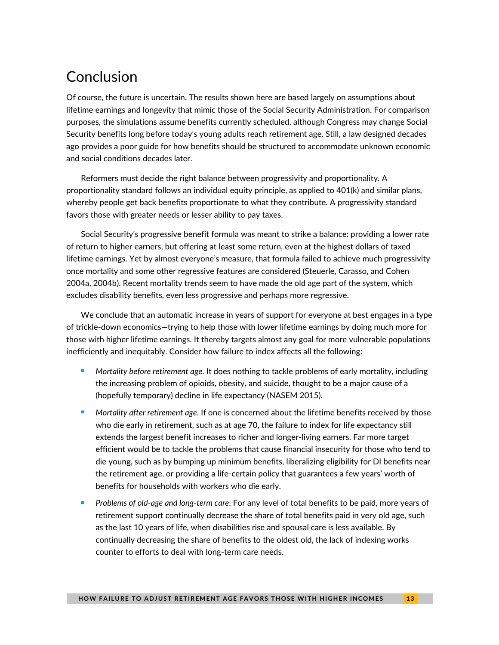# **Conclusion**

Of course, the future is uncertain. The results shown here are based largely on assumptions about lifetime earnings and longevity that mimic those of the Social Security Administration. For comparison purposes, the simulations assume benefits currently scheduled, although Congress may change Social Security benefits long before today's young adults reach retirement age. Still, a law designed decades ago provides a poor guide for how benefits should be structured to accommodate unknown economic and social conditions decades later.

Reformers must decide the right balance between progressivity and proportionality. A proportionality standard follows an individual equity principle, as applied to 401(k) and similar plans, whereby people get back benefits proportionate to what they contribute. A progressivity standard favors those with greater needs or lesser ability to pay taxes.

Social Security's progressive benefit formula was meant to strike a balance: providing a lower rate of return to higher earners, but offering at least some return, even at the highest dollars of taxed lifetime earnings. Yet by almost everyone's measure, that formula failed to achieve much progressivity once mortality and some other regressive features are considered (Steuerle, Carasso, and Cohen 2004a, 2004b). Recent mortality trends seem to have made the old age part of the system, which excludes disability benefits, even less progressive and perhaps more regressive.

We conclude that an automatic increase in years of support for everyone at best engages in a type of trickle-down economics—trying to help those with lower lifetime earnings by doing much more for those with higher lifetime earnings. It thereby targets almost any goal for more vulnerable populations inefficiently and inequitably. Consider how failure to index affects all the following:

- Mortality before retirement age. It does nothing to tackle problems of early mortality, including the increasing problem of opioids, obesity, and suicide, thought to be a major cause of a (hopefully temporary) decline in life expectancy (NASEM 2015).
- *Mortality after retirement age*. If one is concerned about the lifetime benefits received by those who die early in retirement, such as at age 70, the failure to index for life expectancy still extends the largest benefit increases to richer and longer-living earners. Far more target efficient would be to tackle the problems that cause financial insecurity for those who tend to die young, such as by bumping up minimum benefits, liberalizing eligibility for DI benefits near the retirement age, or providing a life-certain policy that guarantees a few years' worth of benefits for households with workers who die early.
- <sup>◼</sup> *Problems of old-age and long-term care*. For any level of total benefits to be paid, more years of retirement support continually decrease the share of total benefits paid in very old age, such as the last 10 years of life, when disabilities rise and spousal care is less available. By continually decreasing the share of benefits to the oldest old, the lack of indexing works counter to efforts to deal with long-term care needs.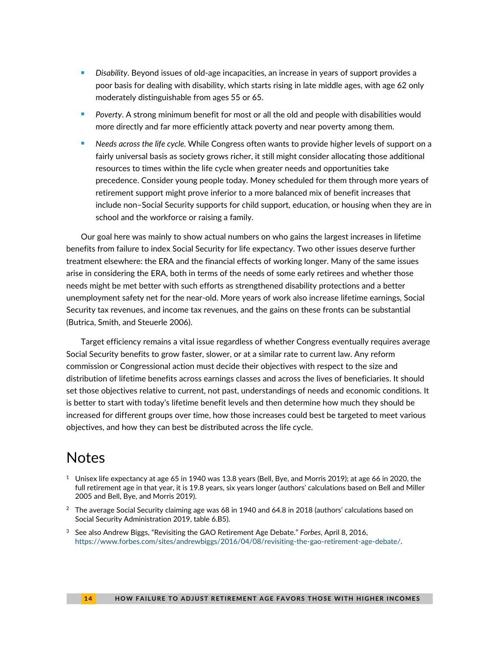- *Disability*. Beyond issues of old-age incapacities, an increase in years of support provides a poor basis for dealing with disability, which starts rising in late middle ages, with age 62 only moderately distinguishable from ages 55 or 65.
- <sup>◼</sup> *Poverty*. A strong minimum benefit for most or all the old and people with disabilities would more directly and far more efficiently attack poverty and near poverty among them.
- <sup>◼</sup> *Needs across the life cycle.* While Congress often wants to provide higher levels of support on a fairly universal basis as society grows richer, it still might consider allocating those additional resources to times within the life cycle when greater needs and opportunities take precedence. Consider young people today. Money scheduled for them through more years of retirement support might prove inferior to a more balanced mix of benefit increases that include non–Social Security supports for child support, education, or housing when they are in school and the workforce or raising a family.

Our goal here was mainly to show actual numbers on who gains the largest increases in lifetime benefits from failure to index Social Security for life expectancy. Two other issues deserve further treatment elsewhere: the ERA and the financial effects of working longer. Many of the same issues arise in considering the ERA, both in terms of the needs of some early retirees and whether those needs might be met better with such efforts as strengthened disability protections and a better unemployment safety net for the near-old. More years of work also increase lifetime earnings, Social Security tax revenues, and income tax revenues, and the gains on these fronts can be substantial (Butrica, Smith, and Steuerle 2006).

Target efficiency remains a vital issue regardless of whether Congress eventually requires average Social Security benefits to grow faster, slower, or at a similar rate to current law. Any reform commission or Congressional action must decide their objectives with respect to the size and distribution of lifetime benefits across earnings classes and across the lives of beneficiaries. It should set those objectives relative to current, not past, understandings of needs and economic conditions. It is better to start with today's lifetime benefit levels and then determine how much they should be increased for different groups over time, how those increases could best be targeted to meet various objectives, and how they can best be distributed across the life cycle.

### **Notes**

- $1$  Unisex life expectancy at age 65 in 1940 was 13.8 years (Bell, Bye, and Morris 2019); at age 66 in 2020, the full retirement age in that year, it is 19.8 years, six years longer (authors' calculations based on Bell and Miller 2005 and Bell, Bye, and Morris 2019).
- $2$  The average Social Security claiming age was 68 in 1940 and 64.8 in 2018 (authors' calculations based on Social Security Administration 2019, table 6.B5).
- <sup>3</sup> See also Andrew Biggs, "Revisiting the GAO Retirement Age Debate." *Forbes*, April 8, 2016, [https://www.forbes.com/sites/andrewbiggs/2016/04/08/revisiting-the-gao-retirement-age-debate/.](about:blank)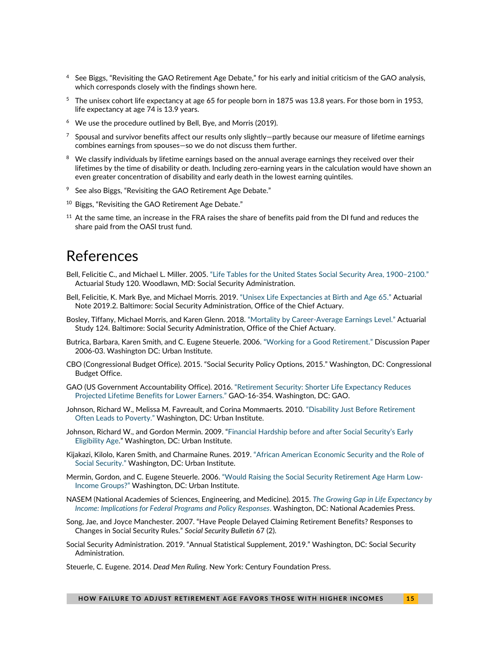- <sup>4</sup> See Biggs, "Revisiting the GAO Retirement Age Debate," for his early and initial criticism of the GAO analysis, which corresponds closely with the findings shown here.
- <sup>5</sup> The unisex cohort life expectancy at age 65 for people born in 1875 was 13.8 years. For those born in 1953, life expectancy at age 74 is 13.9 years.
- $6$  We use the procedure outlined by Bell, Bye, and Morris (2019).
- $7$  Spousal and survivor benefits affect our results only slightly—partly because our measure of lifetime earnings combines earnings from spouses—so we do not discuss them further.
- <sup>8</sup> We classify individuals by lifetime earnings based on the annual average earnings they received over their lifetimes by the time of disability or death. Including zero-earning years in the calculation would have shown an even greater concentration of disability and early death in the lowest earning quintiles.
- $9$  See also Biggs, "Revisiting the GAO Retirement Age Debate."
- <sup>10</sup> Biggs, "Revisiting the GAO Retirement Age Debate."
- $11$  At the same time, an increase in the FRA raises the share of benefits paid from the DI fund and reduces the share paid from the OASI trust fund.

### References

- Bell, Felicitie C., and Michael L. Miller. 2005. ["Life Tables for the United States](about:blank) Social Security Area, 1900–2100." Actuarial Study 120. Woodlawn, MD: Social Security Administration.
- Bell, Felicitie, K. Mark Bye, and Michael Morris. 2019. ["Unisex Life Expectancies at Birth and Age 65."](about:blank) Actuarial Note 2019.2. Baltimore: Social Security Administration, Office of the Chief Actuary.
- Bosley, Tiffany, Michael Morris, and Karen Glenn. 2018. "Mortality by Career-[Average Earnings Level."](about:blank) Actuarial Study 124. Baltimore: Social Security Administration, Office of the Chief Actuary.
- Butrica, Barbara, Karen Smith, and C. Eugene Steuerle. 2006. ["Working for a Good Retirement."](about:blank) Discussion Paper 2006-03. Washington DC: Urban Institute.
- CBO (Congressional Budget Office). 2015. "Social Security Policy Options, 2015." Washington, DC: Congressional Budget Office.
- GAO (US Government Accountability Office). 2016. ["Retirement Security: Shorter Life Expectancy Reduces](about:blank)  [Projected Lifetime Benefits for Lower Earners."](about:blank) GAO-16-354. Washington, DC: GAO.
- Johnson, Richard W., Melissa M. Favreault, and Corina Mommaerts. 2010. "Disability Ju[st Before Retirement](about:blank)  [Often Leads to Poverty.](about:blank)" Washington, DC: Urban Institute.
- Johnson, Richard W., and Gordon Mermin. 2009. "Financial Hardship b[efore and after Social Security's Early](https://www.urban.org/research/publication/financial-hardship-and-after-social-securitys-eligibility-age)  [Eligibility Age](https://www.urban.org/research/publication/financial-hardship-and-after-social-securitys-eligibility-age)." Washington, DC: Urban Institute.
- Kijakazi, Kilolo, Karen Smith, and Charmaine Runes. 2019. ["African American Economic Security and the Role of](about:blank)  [Social Security.](about:blank)" Washington, DC: Urban Institute.
- Mermin, Gordon, and C. Eugene Steuerle. 2006. ["Would Raising the Social Security Retirement Age Harm Low](about:blank)-[Income Groups?"](about:blank) Washington, DC: Urban Institute.
- NASEM (National Academies of Sciences, Engineering, and Medicine). 2015. *[The Growing Gap in Life Expectancy by](about:blank)  [Income: Implications for Federal Programs and Policy Responses](about:blank)*. Washington, DC: National Academies Press.
- Song, Jae, and Joyce Manchester. 2007. "Have People Delayed Claiming Retirement Benefits? Responses to Changes in Social Security Rules." *Social Security Bulletin* 67 (2).
- Social Security Administration. 2019. "Annual Statistical Supplement, 2019." Washington, DC: Social Security Administration.
- Steuerle, C. Eugene. 2014. *Dead Men Ruling*. New York: Century Foundation Press.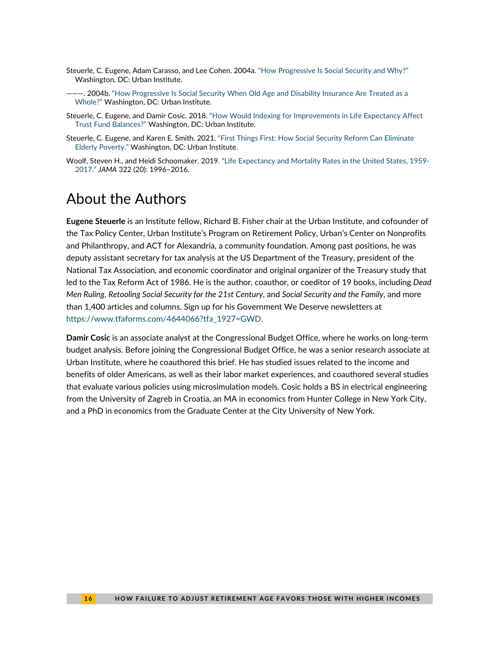- Steuerle, C. Eugene, Adam Carasso, and Lee Cohen. 2004a. ["How Progressive Is Social Security and Why?"](about:blank) Washington, DC: Urban Institute.
- ———. 2004b. ["How Progressive Is Social Security When Old Age and Disability Insurance Are Treated as a](about:blank)  [Whole?"](about:blank) Washington, DC: Urban Institute.
- Steuerle, C. Eugene, and Damir Cosic. 2018. "How Wo[uld Indexing for Improvements in Life Expectancy Affect](about:blank)  [Trust Fund Balances?"](about:blank) Washington, DC: Urban Institute.
- Steuerle, C. Eugene, and Karen E. Smith. 2021. ["First Things First: How Social Security Reform Can Eliminate](about:blank)  Elderly [Poverty."](about:blank) Washington, DC: Urban Institute.
- Woolf, Steven H., and Heidi Schoomaker. 2019[. "Life Expectancy and Mortality Rates in the United States, 1959](about:blank) [2017."](about:blank) *JAMA* 322 (20): 1996–2016.

### About the Authors

**Eugene Steuerle** is an Institute fellow, Richard B. Fisher chair at the Urban Institute, and cofounder of the Tax Policy Center, Urban Institute's Program on Retirement Policy, Urban's Center on Nonprofits and Philanthropy, and ACT for Alexandria, a community foundation. Among past positions, he was deputy assistant secretary for tax analysis at the US Department of the Treasury, president of the National Tax Association, and economic coordinator and original organizer of the Treasury study that led to the Tax Reform Act of 1986. He is the author, coauthor, or coeditor of 19 books, including *Dead Men Ruling*, *Retooling Social Security for the 21st Century*, and *Social Security and the Family*, and more than 1,400 articles and columns. Sign up for his Government We Deserve newsletters at [https://www.tfaforms.com/4644066?tfa\\_1927=GWD.](https://www.tfaforms.com/4644066?tfa_1927=GWD)

**Damir Cosic** is an associate analyst at the Congressional Budget Office, where he works on long-term budget analysis. Before joining the Congressional Budget Office, he was a senior research associate at Urban Institute, where he coauthored this brief. He has studied issues related to the income and benefits of older Americans, as well as their labor market experiences, and coauthored several studies that evaluate various policies using microsimulation models. Cosic holds a BS in electrical engineering from the University of Zagreb in Croatia, an MA in economics from Hunter College in New York City, and a PhD in economics from the Graduate Center at the City University of New York.